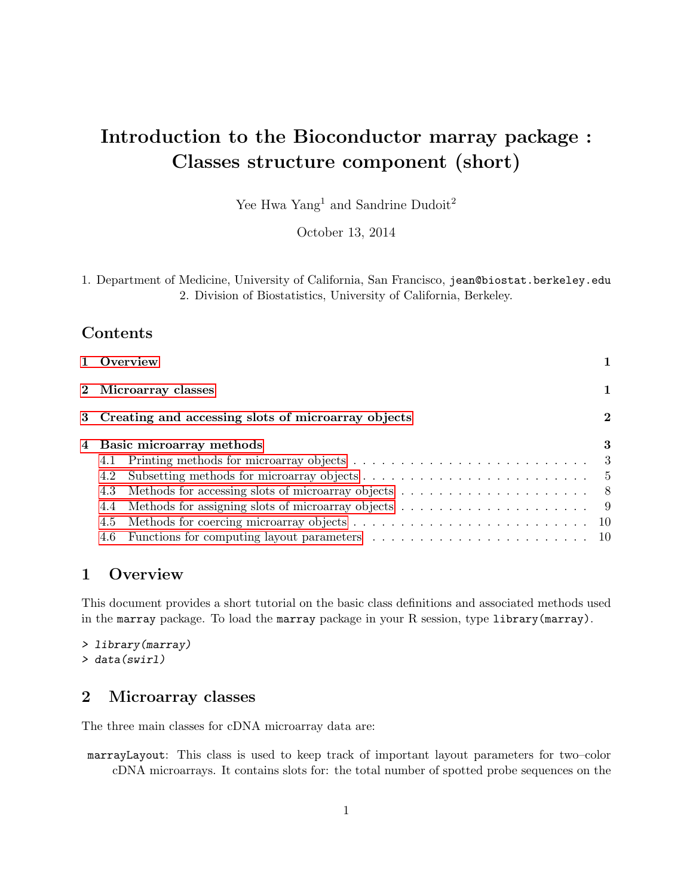# Introduction to the Bioconductor marray package : Classes structure component (short)

Yee Hwa Yang<sup>1</sup> and Sandrine Dudoit<sup>2</sup>

October 13, 2014

| 1. Department of Medicine, University of California, San Francisco, jean@biostat.berkeley.edu |  |
|-----------------------------------------------------------------------------------------------|--|
| 2. Division of Biostatistics, University of California, Berkeley.                             |  |

## Contents

| 2 Microarray classes<br>3 Creating and accessing slots of microarray objects<br>4 Basic microarray methods<br>4.2<br>4.3<br>4.4<br>4.5<br>4.6 | 1 Overview |          |  |
|-----------------------------------------------------------------------------------------------------------------------------------------------|------------|----------|--|
|                                                                                                                                               |            |          |  |
|                                                                                                                                               |            | $\bf{2}$ |  |
|                                                                                                                                               |            | 3        |  |
|                                                                                                                                               |            |          |  |
|                                                                                                                                               |            |          |  |
|                                                                                                                                               |            |          |  |
|                                                                                                                                               |            |          |  |
|                                                                                                                                               |            |          |  |
|                                                                                                                                               |            |          |  |

## <span id="page-0-0"></span>1 Overview

This document provides a short tutorial on the basic class definitions and associated methods used in the marray package. To load the marray package in your R session, type library(marray).

```
> library(marray)
> data(swirl)
```
## <span id="page-0-1"></span>2 Microarray classes

The three main classes for cDNA microarray data are:

marrayLayout: This class is used to keep track of important layout parameters for two–color cDNA microarrays. It contains slots for: the total number of spotted probe sequences on the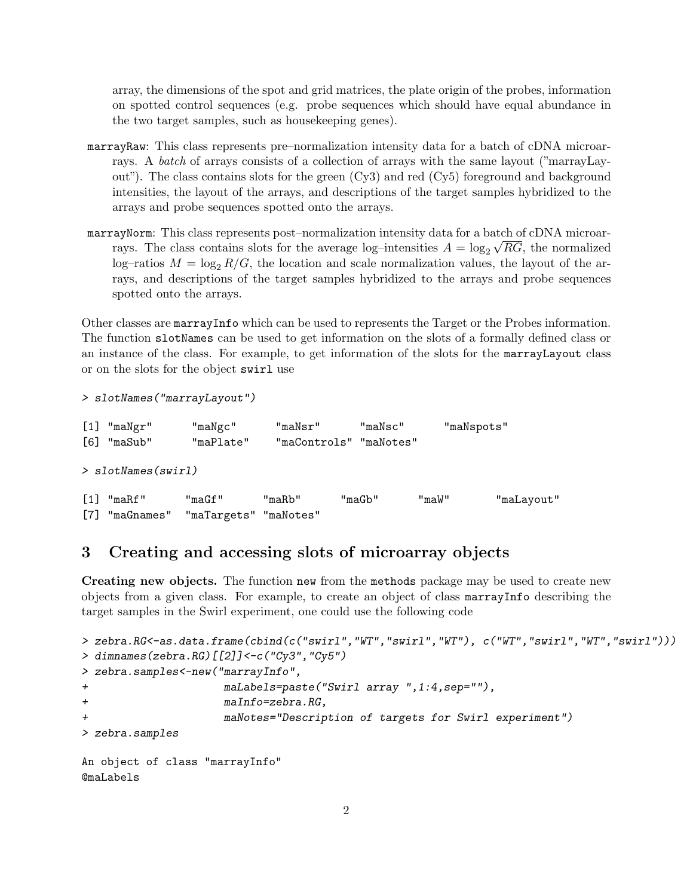array, the dimensions of the spot and grid matrices, the plate origin of the probes, information on spotted control sequences (e.g. probe sequences which should have equal abundance in the two target samples, such as housekeeping genes).

- marrayRaw: This class represents pre–normalization intensity data for a batch of cDNA microarrays. A batch of arrays consists of a collection of arrays with the same layout ("marrayLayout"). The class contains slots for the green (Cy3) and red (Cy5) foreground and background intensities, the layout of the arrays, and descriptions of the target samples hybridized to the arrays and probe sequences spotted onto the arrays.
- marrayNorm: This class represents post–normalization intensity data for a batch of cDNA microarrays. The class contains slots for the average log-intensities  $A = \log_2 \sqrt{RG}$ , the normalized log–ratios  $M = \log_2 R/G$ , the location and scale normalization values, the layout of the arrays, and descriptions of the target samples hybridized to the arrays and probe sequences spotted onto the arrays.

Other classes are marrayInfo which can be used to represents the Target or the Probes information. The function slotNames can be used to get information on the slots of a formally defined class or an instance of the class. For example, to get information of the slots for the marrayLayout class or on the slots for the object swirl use

```
> slotNames("marrayLayout")
```

| $[1]$<br>"maNgr"<br>[6]<br>"maSub" | "maNgc"<br>"maPlate" | "maNsr"<br>"maControls" "maNotes" | "maNsc" |       | "maNspots" |
|------------------------------------|----------------------|-----------------------------------|---------|-------|------------|
| $>$ slotNames(swirl)               |                      |                                   |         |       |            |
| "maRf"                             | "maGf"               | "maRb"                            | "maGb"  | "maW" | "maLayout" |

```
[7] "maGnames" "maTargets" "maNotes"
```
## <span id="page-1-0"></span>3 Creating and accessing slots of microarray objects

Creating new objects. The function new from the methods package may be used to create new objects from a given class. For example, to create an object of class marrayInfo describing the target samples in the Swirl experiment, one could use the following code

```
> zebra.RG<-as.data.frame(cbind(c("swirl","WT","swirl","WT"), c("WT","swirl","WT","swirl")))
> dimnames(zebra.RG)[[2]]<-c("Cy3","Cy5")
> zebra.samples<-new("marrayInfo",
+ maLabels=paste("Swirl array ",1:4,sep=""),
+ maInfo=zebra.RG,
+ maNotes="Description of targets for Swirl experiment")
> zebra.samples
An object of class "marrayInfo"
@maLabels
```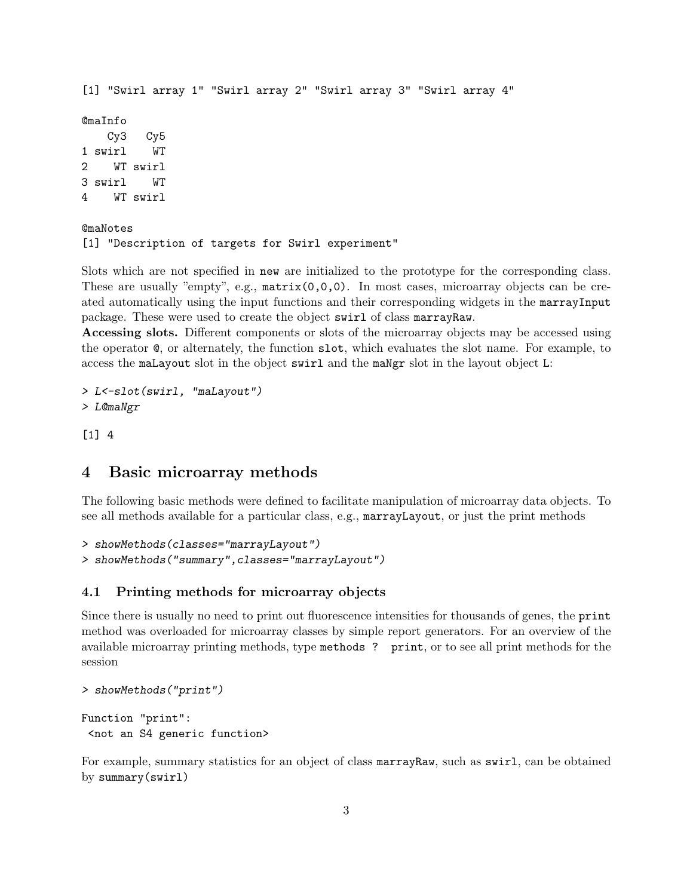```
[1] "Swirl array 1" "Swirl array 2" "Swirl array 3" "Swirl array 4"
@maInfo
   Cy3 Cy5
1 swirl WT
2 WT swirl
3 swirl WT
4 WT swirl
@maNotes
[1] "Description of targets for Swirl experiment"
```
Slots which are not specified in new are initialized to the prototype for the corresponding class. These are usually "empty", e.g.,  $matrix(0,0,0)$ . In most cases, microarray objects can be created automatically using the input functions and their corresponding widgets in the marrayInput package. These were used to create the object swirl of class marrayRaw.

Accessing slots. Different components or slots of the microarray objects may be accessed using the operator @, or alternately, the function slot, which evaluates the slot name. For example, to access the maLayout slot in the object swirl and the maNgr slot in the layout object L:

```
> L<-slot(swirl, "maLayout")
> L@maNgr
```
[1] 4

## <span id="page-2-0"></span>4 Basic microarray methods

The following basic methods were defined to facilitate manipulation of microarray data objects. To see all methods available for a particular class, e.g., marrayLayout, or just the print methods

```
> showMethods(classes="marrayLayout")
> showMethods("summary",classes="marrayLayout")
```
#### <span id="page-2-1"></span>4.1 Printing methods for microarray objects

Since there is usually no need to print out fluorescence intensities for thousands of genes, the print method was overloaded for microarray classes by simple report generators. For an overview of the available microarray printing methods, type methods ? print, or to see all print methods for the session

```
> showMethods("print")
Function "print":
```
<not an S4 generic function>

For example, summary statistics for an object of class marrayRaw, such as swirl, can be obtained by summary(swirl)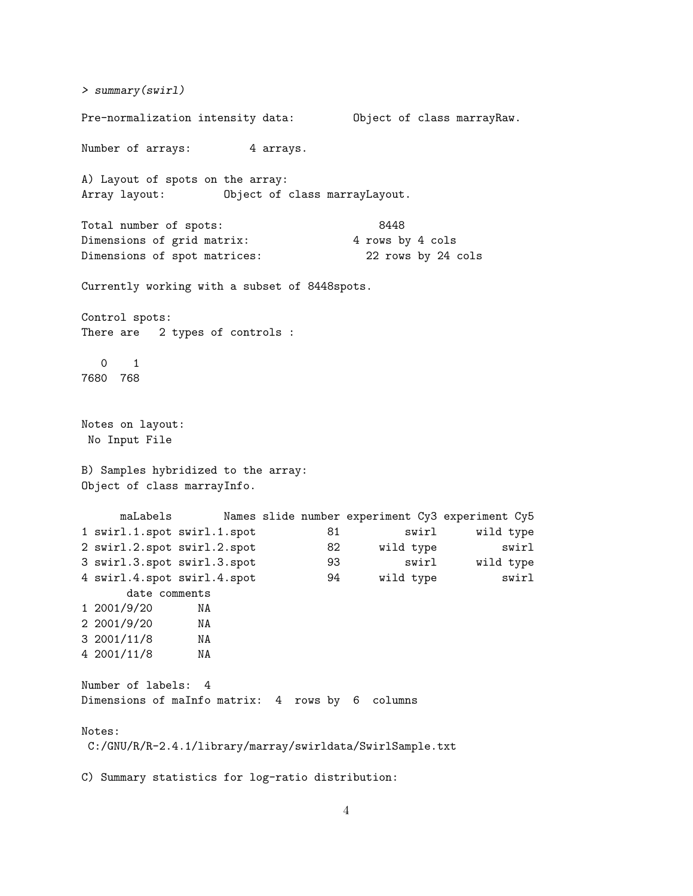> summary(swirl) Pre-normalization intensity data: Object of class marrayRaw. Number of arrays: 4 arrays. A) Layout of spots on the array: Array layout: Object of class marrayLayout. Total number of spots: 8448 Dimensions of grid matrix: 4 rows by 4 cols Dimensions of spot matrices: 22 rows by 24 cols Currently working with a subset of 8448spots. Control spots: There are 2 types of controls : 0 1 7680 768 Notes on layout: No Input File B) Samples hybridized to the array: Object of class marrayInfo. maLabels Names slide number experiment Cy3 experiment Cy5 1 swirl.1.spot swirl.1.spot 81 swirl wild type 2 swirl.2.spot swirl.2.spot 82 wild type swirl 3 swirl.3.spot swirl.3.spot 93 swirl wild type 4 swirl.4.spot swirl.4.spot 94 wild type swirl date comments<br>(9/20 NA  $1 \ 2001/9/20$ 2 2001/9/20 NA 3 2001/11/8 NA 4 2001/11/8 NA Number of labels: 4 Dimensions of maInfo matrix: 4 rows by 6 columns Notes: C:/GNU/R/R-2.4.1/library/marray/swirldata/SwirlSample.txt C) Summary statistics for log-ratio distribution: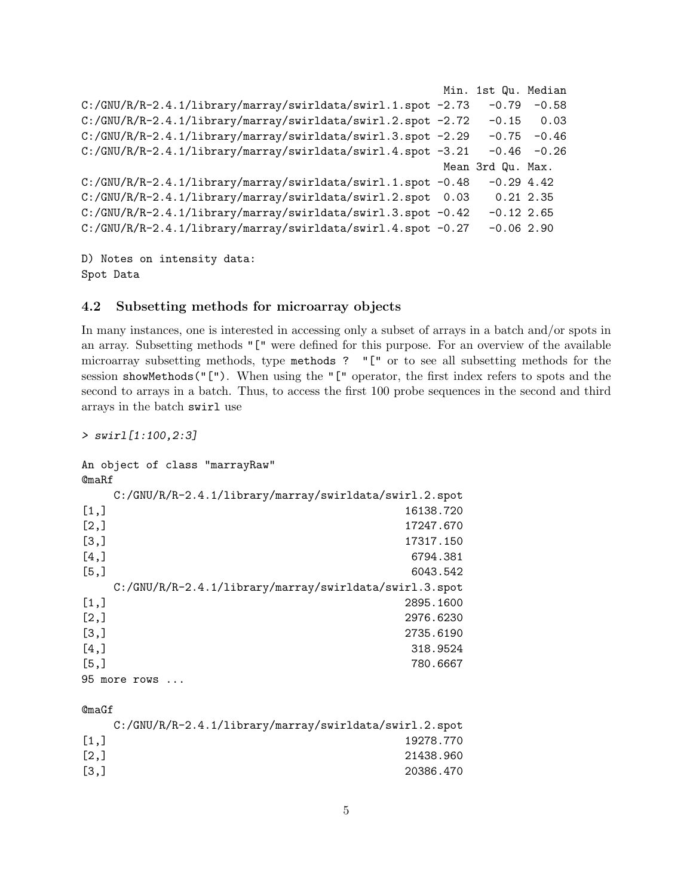```
Min. 1st Qu. Median
C:/GNU/R/R-2.4.1/library/marray/swirldata/swirl.1.spot -2.73 -0.79 -0.58
C:/GNU/R/R-2.4.1/library/marray/swirldata/swirl.2.spot -2.72 -0.15 0.03
C:/GNU/R/R-2.4.1/library/marray/swirldata/swirl.3.spot -2.29 -0.75 -0.46
C:/GNU/R/R-2.4.1/library/marray/swirldata/swirl.4.spot -3.21 -0.46 -0.26
                                                      Mean 3rd Qu. Max.
C:/GNU/R/R-2.4.1/library/marray/swirldata/swirl.1.spot -0.48 -0.29 4.42C:/GNU/R/R-2.4.1/library/marray/swirldata/swirl.2.spot 0.03 0.21 2.35
C:/GNU/R/R-2.4.1/library/marray/swirldata/swirl.3.spot -0.42 -0.12 2.65C:/GNU/R/R-2.4.1/library/marray/swirldata/swirl.4.spot -0.27 -0.06 2.90
```
D) Notes on intensity data: Spot Data

#### <span id="page-4-0"></span>4.2 Subsetting methods for microarray objects

In many instances, one is interested in accessing only a subset of arrays in a batch and/or spots in an array. Subsetting methods "[" were defined for this purpose. For an overview of the available microarray subsetting methods, type methods ? "[" or to see all subsetting methods for the session showMethods("["). When using the "[" operator, the first index refers to spots and the second to arrays in a batch. Thus, to access the first 100 probe sequences in the second and third arrays in the batch swirl use

> swirl[1:100,2:3]

```
An object of class "marrayRaw"
@maRf
  C:/GNU/R/R-2.4.1/library/marray/swirldata/swirl.2.spot
[1,] 16138.720
[2,] 17247.670
[3,] 17317.150
[4,] 6794.381
[5,] 6043.542
  C:/GNU/R/R-2.4.1/library/marray/swirldata/swirl.3.spot
[1,] 2895.1600
[2,] 2976.6230
[3,] 2735.6190
[4,] 318.9524
[5,] 780.6667
95 more rows ...
@maGf
```

| $C$ :/GNU/R/R-2.4.1/library/marray/swirldata/swirl.2.spot |
|-----------------------------------------------------------|
| 19278.770                                                 |
| 21438.960                                                 |
| 20386.470                                                 |
|                                                           |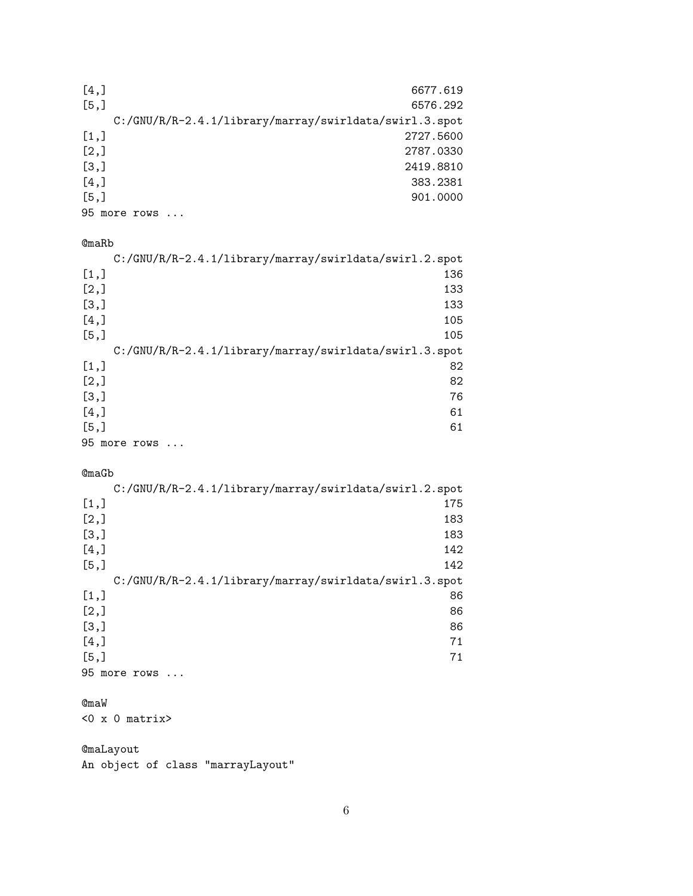| [4,]                                                   | 6677.619  |
|--------------------------------------------------------|-----------|
| [5,]                                                   | 6576.292  |
| C:/GNU/R/R-2.4.1/library/marray/swirldata/swirl.3.spot |           |
| $\left[1, \right]$                                     | 2727.5600 |
| [2,]                                                   | 2787.0330 |
| [3,]                                                   | 2419.8810 |
| [4,]                                                   | 383.2381  |
| [5,]                                                   | 901,0000  |
| 95 more rows                                           |           |

#### @maRb

|      | C:/GNU/R/R-2.4.1/library/marray/swirldata/swirl.2.spot |
|------|--------------------------------------------------------|
| [1,] | 136                                                    |
| [2,] | 133                                                    |
| [3,] | 133                                                    |
| [4,] | 105                                                    |
| [5,] | 105                                                    |
|      | C:/GNU/R/R-2.4.1/library/marray/swirldata/swirl.3.spot |
| [1,] | 82                                                     |
| [2,] | 82                                                     |
| [3,] | 76                                                     |
| [4,] | 61                                                     |
| [5,] | 61                                                     |
|      | 95 more rows                                           |

#### @maGb

|      | C:/GNU/R/R-2.4.1/library/marray/swirldata/swirl.2.spot |
|------|--------------------------------------------------------|
| [1,] | 175                                                    |
| [2,] | 183                                                    |
| [3,] | 183                                                    |
| [4,] | 142                                                    |
| [5,] | 142                                                    |
|      | C:/GNU/R/R-2.4.1/library/marray/swirldata/swirl.3.spot |
| [1,] | 86                                                     |
| [2,] | 86                                                     |
| [3,] | 86                                                     |
| [4,] | 71                                                     |
| [5,] | 71                                                     |
|      | 95 more rows                                           |

## @maW

<0 x 0 matrix>

## @maLayout An object of class "marrayLayout"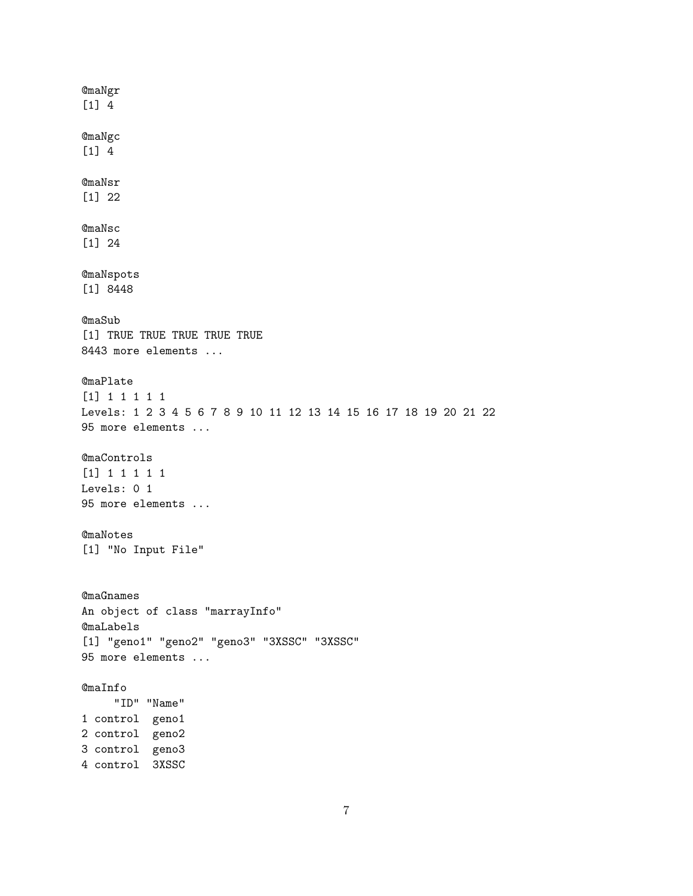@maNgr [1] 4 @maNgc [1] 4 @maNsr [1] 22 @maNsc [1] 24 @maNspots [1] 8448 @maSub [1] TRUE TRUE TRUE TRUE TRUE 8443 more elements ... @maPlate [1] 1 1 1 1 1 Levels: 1 2 3 4 5 6 7 8 9 10 11 12 13 14 15 16 17 18 19 20 21 22 95 more elements ... @maControls [1] 1 1 1 1 1 Levels: 0 1 95 more elements ... @maNotes [1] "No Input File" @maGnames An object of class "marrayInfo" @maLabels [1] "geno1" "geno2" "geno3" "3XSSC" "3XSSC" 95 more elements ... @maInfo "ID" "Name" 1 control geno1 2 control geno2 3 control geno3 4 control 3XSSC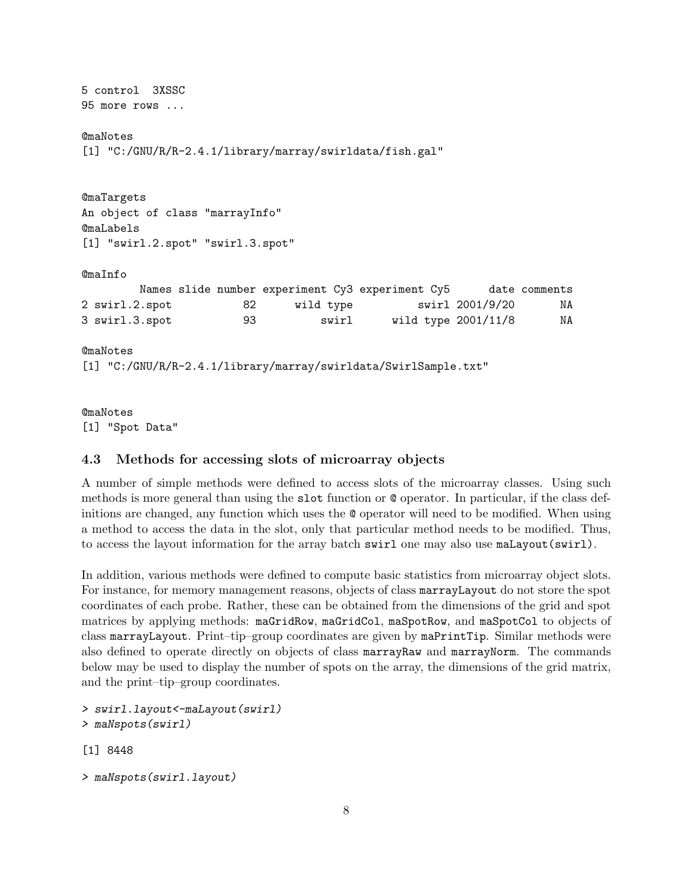```
5 control 3XSSC
95 more rows ...
@maNotes
[1] "C:/GNU/R/R-2.4.1/library/marray/swirldata/fish.gal"
@maTargets
An object of class "marrayInfo"
@maLabels
[1] "swirl.2.spot" "swirl.3.spot"
@maInfo
       Names slide number experiment Cy3 experiment Cy5 date comments
2 swirl.2.spot 82 wild type swirl 2001/9/20 NA
3 swirl.3.spot 93 swirl wild type 2001/11/8 NA
@maNotes
[1] "C:/GNU/R/R-2.4.1/library/marray/swirldata/SwirlSample.txt"
```

```
@maNotes
[1] "Spot Data"
```
#### <span id="page-7-0"></span>4.3 Methods for accessing slots of microarray objects

A number of simple methods were defined to access slots of the microarray classes. Using such methods is more general than using the slot function or @ operator. In particular, if the class definitions are changed, any function which uses the @ operator will need to be modified. When using a method to access the data in the slot, only that particular method needs to be modified. Thus, to access the layout information for the array batch swirl one may also use maLayout(swirl).

In addition, various methods were defined to compute basic statistics from microarray object slots. For instance, for memory management reasons, objects of class marrayLayout do not store the spot coordinates of each probe. Rather, these can be obtained from the dimensions of the grid and spot matrices by applying methods: maGridRow, maGridCol, maSpotRow, and maSpotCol to objects of class marrayLayout. Print–tip–group coordinates are given by maPrintTip. Similar methods were also defined to operate directly on objects of class marrayRaw and marrayNorm. The commands below may be used to display the number of spots on the array, the dimensions of the grid matrix, and the print–tip–group coordinates.

```
> swirl.layout<-maLayout(swirl)
> maNspots(swirl)
```
[1] 8448

```
> maNspots(swirl.layout)
```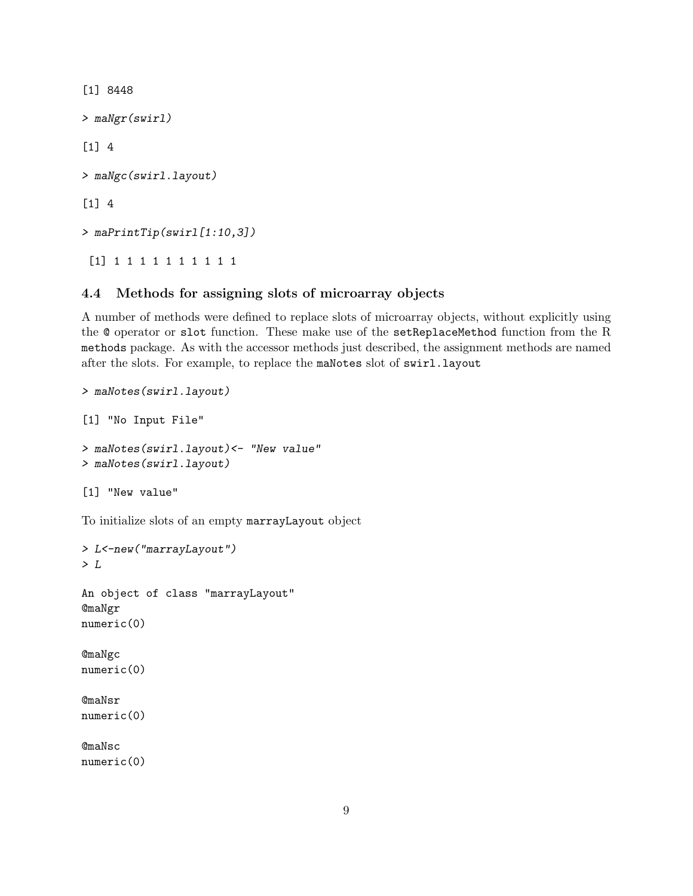[1] 8448 > maNgr(swirl) [1] 4 > maNgc(swirl.layout) [1] 4 > maPrintTip(swirl[1:10,3]) [1] 1 1 1 1 1 1 1 1 1 1

### <span id="page-8-0"></span>4.4 Methods for assigning slots of microarray objects

A number of methods were defined to replace slots of microarray objects, without explicitly using the @ operator or slot function. These make use of the setReplaceMethod function from the R methods package. As with the accessor methods just described, the assignment methods are named after the slots. For example, to replace the maNotes slot of swirl.layout

```
> maNotes(swirl.layout)
[1] "No Input File"
> maNotes(swirl.layout)<- "New value"
> maNotes(swirl.layout)
[1] "New value"
To initialize slots of an empty marrayLayout object
> L<-new("marrayLayout")
> LAn object of class "marrayLayout"
@maNgr
numeric(0)
```
@maNgc numeric(0)

@maNsr numeric(0)

@maNsc numeric(0)